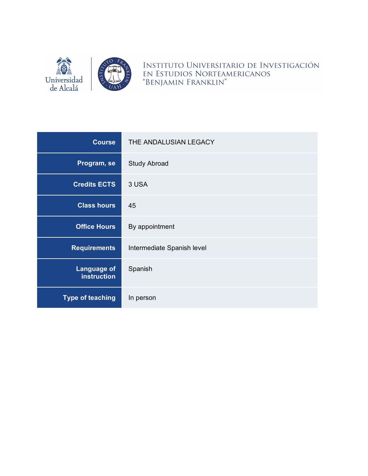

INSTITUTO UNIVERSITARIO DE INVESTIGACIÓN EN ESTUDIOS NORTEAMERICANOS "BENJAMIN FRANKLIN"

| <b>Course</b>                     | THE ANDALUSIAN LEGACY      |
|-----------------------------------|----------------------------|
| Program, se                       | <b>Study Abroad</b>        |
| <b>Credits ECTS</b>               | 3 USA                      |
| <b>Class hours</b>                | 45                         |
| <b>Office Hours</b>               | By appointment             |
| <b>Requirements</b>               | Intermediate Spanish level |
| <b>Language of</b><br>instruction | Spanish                    |
| <b>Type of teaching</b>           | In person                  |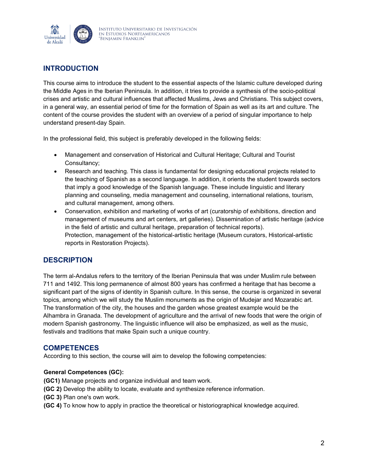

# **INTRODUCTION**

This course aims to introduce the student to the essential aspects of the Islamic culture developed during the Middle Ages in the Iberian Peninsula. In addition, it tries to provide a synthesis of the socio-political crises and artistic and cultural influences that affected Muslims, Jews and Christians. This subject covers, in a general way, an essential period of time for the formation of Spain as well as its art and culture. The content of the course provides the student with an overview of a period of singular importance to help understand present-day Spain.

In the professional field, this subject is preferably developed in the following fields:

- Management and conservation of Historical and Cultural Heritage; Cultural and Tourist Consultancy;
- Research and teaching. This class is fundamental for designing educational projects related to the teaching of Spanish as a second language. In addition, it orients the student towards sectors that imply a good knowledge of the Spanish language. These include linguistic and literary planning and counseling, media management and counseling, international relations, tourism, and cultural management, among others.
- Conservation, exhibition and marketing of works of art (curatorship of exhibitions, direction and management of museums and art centers, art galleries). Dissemination of artistic heritage (advice in the field of artistic and cultural heritage, preparation of technical reports). Protection, management of the historical-artistic heritage (Museum curators, Historical-artistic reports in Restoration Projects).

# **DESCRIPTION**

The term al-Andalus refers to the territory of the Iberian Peninsula that was under Muslim rule between 711 and 1492. This long permanence of almost 800 years has confirmed a heritage that has become a significant part of the signs of identity in Spanish culture. In this sense, the course is organized in several topics, among which we will study the Muslim monuments as the origin of Mudejar and Mozarabic art. The transformation of the city, the houses and the garden whose greatest example would be the Alhambra in Granada. The development of agriculture and the arrival of new foods that were the origin of modern Spanish gastronomy. The linguistic influence will also be emphasized, as well as the music, festivals and traditions that make Spain such a unique country.

## **COMPETENCES**

According to this section, the course will aim to develop the following competencies:

#### **General Competences (GC):**

**(GC1)** Manage projects and organize individual and team work.

- **(GC 2)** Develop the ability to locate, evaluate and synthesize reference information.
- **(GC 3)** Plan one's own work.
- **(GC 4)** To know how to apply in practice the theoretical or historiographical knowledge acquired.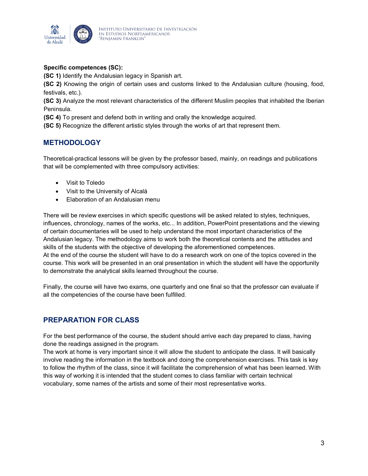

### **Specific competences (SC):**

**(SC 1)** Identify the Andalusian legacy in Spanish art.

**(SC 2)** Knowing the origin of certain uses and customs linked to the Andalusian culture (housing, food, festivals, etc.).

**(SC 3)** Analyze the most relevant characteristics of the different Muslim peoples that inhabited the Iberian Peninsula.

**(SC 4)** To present and defend both in writing and orally the knowledge acquired.

**(SC 5)** Recognize the different artistic styles through the works of art that represent them.

# **METHODOLOGY**

Theoretical-practical lessons will be given by the professor based, mainly, on readings and publications that will be complemented with three compulsory activities:

- Visit to Toledo
- Visit to the University of Alcalá
- Elaboration of an Andalusian menu

There will be review exercises in which specific questions will be asked related to styles, techniques, influences, chronology, names of the works, etc... In addition, PowerPoint presentations and the viewing of certain documentaries will be used to help understand the most important characteristics of the Andalusian legacy. The methodology aims to work both the theoretical contents and the attitudes and skills of the students with the objective of developing the aforementioned competences. At the end of the course the student will have to do a research work on one of the topics covered in the course. This work will be presented in an oral presentation in which the student will have the opportunity to demonstrate the analytical skills learned throughout the course.

Finally, the course will have two exams, one quarterly and one final so that the professor can evaluate if all the competencies of the course have been fulfilled.

# **PREPARATION FOR CLASS**

For the best performance of the course, the student should arrive each day prepared to class, having done the readings assigned in the program.

The work at home is very important since it will allow the student to anticipate the class. It will basically involve reading the information in the textbook and doing the comprehension exercises. This task is key to follow the rhythm of the class, since it will facilitate the comprehension of what has been learned. With this way of working it is intended that the student comes to class familiar with certain technical vocabulary, some names of the artists and some of their most representative works.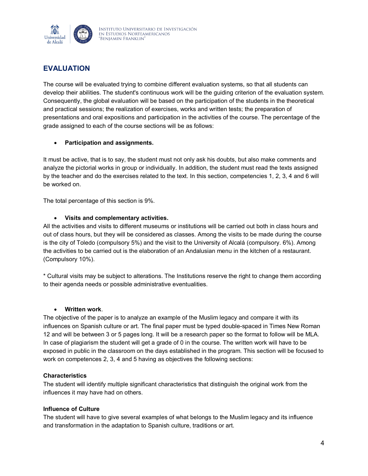

# **EVALUATION**

The course will be evaluated trying to combine different evaluation systems, so that all students can develop their abilities. The student's continuous work will be the guiding criterion of the evaluation system. Consequently, the global evaluation will be based on the participation of the students in the theoretical and practical sessions; the realization of exercises, works and written tests; the preparation of presentations and oral expositions and participation in the activities of the course. The percentage of the grade assigned to each of the course sections will be as follows:

### • **Participation and assignments.**

It must be active, that is to say, the student must not only ask his doubts, but also make comments and analyze the pictorial works in group or individually. In addition, the student must read the texts assigned by the teacher and do the exercises related to the text. In this section, competencies 1, 2, 3, 4 and 6 will be worked on.

The total percentage of this section is 9%.

#### • **Visits and complementary activities.**

All the activities and visits to different museums or institutions will be carried out both in class hours and out of class hours, but they will be considered as classes. Among the visits to be made during the course is the city of Toledo (compulsory 5%) and the visit to the University of Alcalá (compulsory. 6%). Among the activities to be carried out is the elaboration of an Andalusian menu in the kitchen of a restaurant. (Compulsory 10%).

\* Cultural visits may be subject to alterations. The Institutions reserve the right to change them according to their agenda needs or possible administrative eventualities.

#### • **Written work**.

The objective of the paper is to analyze an example of the Muslim legacy and compare it with its influences on Spanish culture or art. The final paper must be typed double-spaced in Times New Roman 12 and will be between 3 or 5 pages long. It will be a research paper so the format to follow will be MLA. In case of plagiarism the student will get a grade of 0 in the course. The written work will have to be exposed in public in the classroom on the days established in the program. This section will be focused to work on competences 2, 3, 4 and 5 having as objectives the following sections:

#### **Characteristics**

The student will identify multiple significant characteristics that distinguish the original work from the influences it may have had on others.

#### **Influence of Culture**

The student will have to give several examples of what belongs to the Muslim legacy and its influence and transformation in the adaptation to Spanish culture, traditions or art.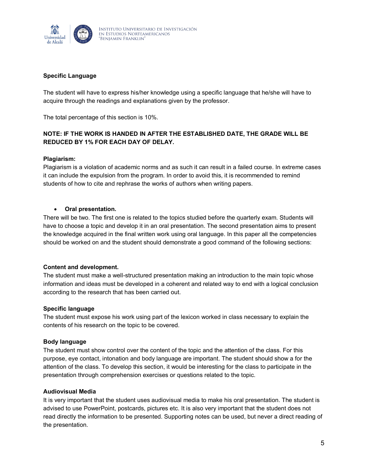

#### **Specific Language**

The student will have to express his/her knowledge using a specific language that he/she will have to acquire through the readings and explanations given by the professor.

The total percentage of this section is 10%.

## **NOTE: IF THE WORK IS HANDED IN AFTER THE ESTABLISHED DATE, THE GRADE WILL BE REDUCED BY 1% FOR EACH DAY OF DELAY.**

#### **Plagiarism:**

Plagiarism is a violation of academic norms and as such it can result in a failed course. In extreme cases it can include the expulsion from the program. In order to avoid this, it is recommended to remind students of how to cite and rephrase the works of authors when writing papers.

#### • **Oral presentation.**

There will be two. The first one is related to the topics studied before the quarterly exam. Students will have to choose a topic and develop it in an oral presentation. The second presentation aims to present the knowledge acquired in the final written work using oral language. In this paper all the competencies should be worked on and the student should demonstrate a good command of the following sections:

#### **Content and development.**

The student must make a well-structured presentation making an introduction to the main topic whose information and ideas must be developed in a coherent and related way to end with a logical conclusion according to the research that has been carried out.

#### **Specific language**

The student must expose his work using part of the lexicon worked in class necessary to explain the contents of his research on the topic to be covered.

#### **Body language**

The student must show control over the content of the topic and the attention of the class. For this purpose, eye contact, intonation and body language are important. The student should show a for the attention of the class. To develop this section, it would be interesting for the class to participate in the presentation through comprehension exercises or questions related to the topic.

#### **Audiovisual Media**

It is very important that the student uses audiovisual media to make his oral presentation. The student is advised to use PowerPoint, postcards, pictures etc. It is also very important that the student does not read directly the information to be presented. Supporting notes can be used, but never a direct reading of the presentation.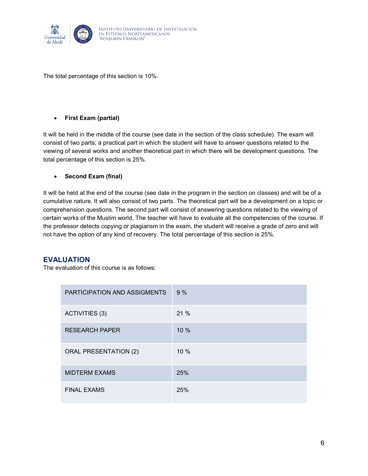

The total percentage of this section is 10%.

### • **First Exam (partial)**

It will be held in the middle of the course (see date in the section of the class schedule). The exam will consist of two parts; a practical part in which the student will have to answer questions related to the viewing of several works and another theoretical part in which there will be development questions. The total percentage of this section is 25%.

### • **Second Exam (final)**

It will be held at the end of the course (see date in the program in the section on classes) and will be of a cumulative nature. It will also consist of two parts. The theoretical part will be a development on a topic or comprehension questions. The second part will consist of answering questions related to the viewing of certain works of the Muslim world. The teacher will have to evaluate all the competencies of the course. If the professor detects copying or plagiarism in the exam, the student will receive a grade of zero and will not have the option of any kind of recovery. The total percentage of this section is 25%.

## **EVALUATION**

The evaluation of this course is as follows:

| PARTICIPATION AND ASSIGMENTS | 9%     |
|------------------------------|--------|
| ACTIVITIES (3)               | 21 %   |
| <b>RESEARCH PAPER</b>        | $10\%$ |
| <b>ORAL PRESENTATION (2)</b> | 10 %   |
| <b>MIDTERM EXAMS</b>         | 25%    |
| <b>FINAL EXAMS</b>           | 25%    |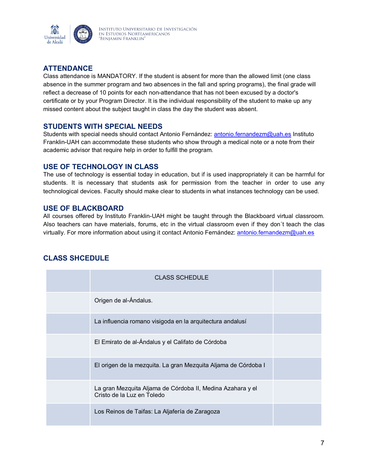

# **ATTENDANCE**

Class attendance is MANDATORY. If the student is absent for more than the allowed limit (one class absence in the summer program and two absences in the fall and spring programs), the final grade will reflect a decrease of 10 points for each non-attendance that has not been excused by a doctor's certificate or by your Program Director. It is the individual responsibility of the student to make up any missed content about the subject taught in class the day the student was absent.

# **STUDENTS WITH SPECIAL NEEDS**

Students with special needs should contact Antonio Fernández: [antonio.fernandezm@uah.es](mailto:antonio.fernandezm@uah.es) Instituto Franklin-UAH can accommodate these students who show through a medical note or a note from their academic advisor that require help in order to fulfill the program.

## **USE OF TECHNOLOGY IN CLASS**

The use of technology is essential today in education, but if is used inappropriately it can be harmful for students. It is necessary that students ask for permission from the teacher in order to use any technological devices. Faculty should make clear to students in what instances technology can be used.

## **USE OF BLACKBOARD**

All courses offered by Instituto Franklin-UAH might be taught through the Blackboard virtual classroom. Also teachers can have materials, forums, etc in the virtual classroom even if they don´t teach the clas virtually. For more information about using it contact Antonio Fernández: [antonio.fernandezm@uah.es](mailto:antonio.fernandezm@uah.es)

| <b>CLASS SCHEDULE</b>                                                                    |  |
|------------------------------------------------------------------------------------------|--|
| Origen de al-Ándalus.                                                                    |  |
| La influencia romano visigoda en la arquitectura andalusí                                |  |
| El Emirato de al-Ándalus y el Califato de Córdoba                                        |  |
| El origen de la mezquita. La gran Mezquita Aljama de Córdoba I                           |  |
| La gran Mezquita Aljama de Córdoba II, Medina Azahara y el<br>Cristo de la Luz en Toledo |  |
| Los Reinos de Taifas: La Aljafería de Zaragoza                                           |  |

# **CLASS SHCEDULE**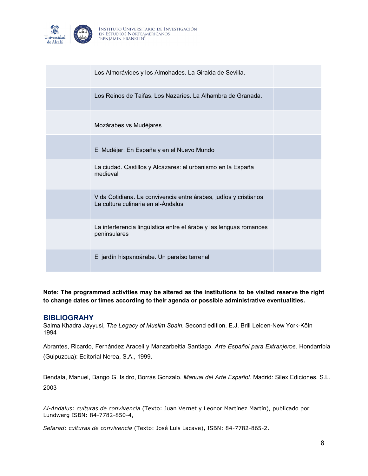

| Los Almorávides y los Almohades. La Giralda de Sevilla.                                                |  |
|--------------------------------------------------------------------------------------------------------|--|
| Los Reinos de Taifas, Los Nazaríes, La Alhambra de Granada,                                            |  |
| Mozárabes vs Mudéjares                                                                                 |  |
| El Mudéjar: En España y en el Nuevo Mundo                                                              |  |
| La ciudad. Castillos y Alcázares: el urbanismo en la España<br>medieval                                |  |
| Vida Cotidiana. La convivencia entre árabes, judíos y cristianos<br>La cultura culinaria en al-Ándalus |  |
| La interferencia lingüística entre el árabe y las lenguas romances<br>peninsulares                     |  |
| El jardín hispanoárabe. Un paraíso terrenal                                                            |  |

**Note: The programmed activities may be altered as the institutions to be visited reserve the right to change dates or times according to their agenda or possible administrative eventualities.**

#### **BIBLIOGRAHY**

Salma Khadra Jayyusi, *The Legacy of Muslim Spain*. Second edition. E.J. Brill Leiden-New York-Köln 1994

Abrantes, Ricardo, Fernández Araceli y Manzarbeitia Santiago. *Arte Español para Extranjeros*. Hondarribia (Guipuzcua): Editorial Nerea, S.A., 1999.

Bendala, Manuel, Bango G. Isidro, Borrás Gonzalo. *Manual del Arte Español*. Madrid: Silex Ediciones. S.L. 2003

*Al-Andalus: culturas de convivencia* (Texto: Juan Vernet y Leonor Martínez Martín), publicado por Lundwerg ISBN: 84-7782-850-4,

*Sefarad: culturas de convivencia* (Texto: José Luis Lacave), ISBN: 84-7782-865-2.